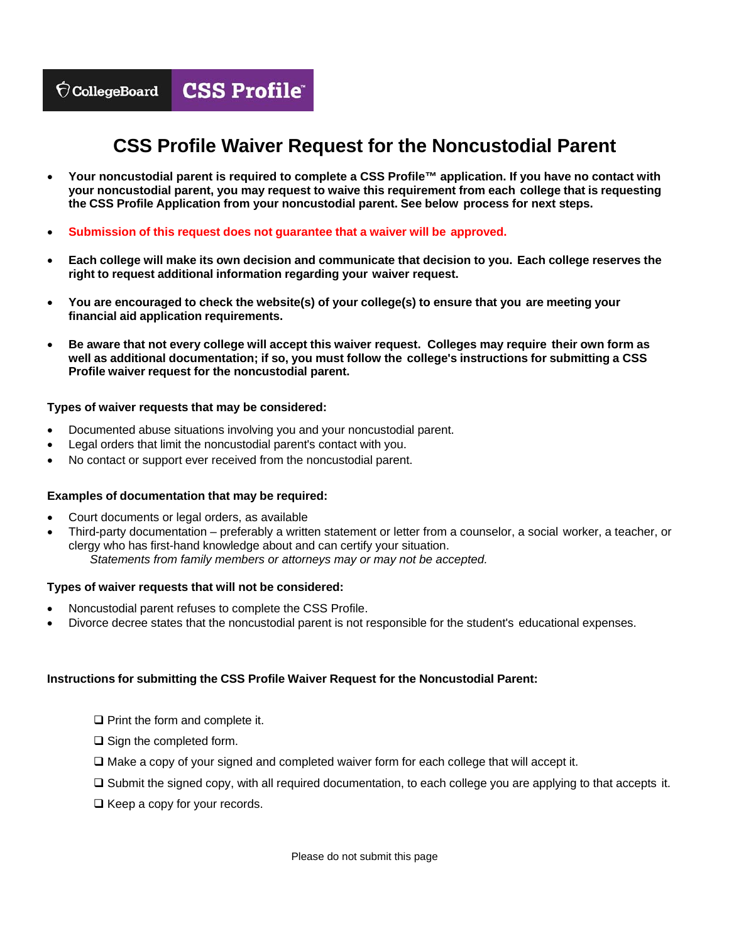## **CSS Profile Waiver Request for the Noncustodial Parent**

- **Your noncustodial parent is required to complete a CSS Profile™ application. If you have no contact with your noncustodial parent, you may request to waive this requirement from each college that is requesting the CSS Profile Application from your noncustodial parent. See below process for next steps.**
- **Submission of this request does not guarantee that a waiver will be approved.**
- **Each college will make its own decision and communicate that decision to you. Each college reserves the right to request additional information regarding your waiver request.**
- **You are encouraged to check the website(s) of your college(s) to ensure that you are meeting your financial aid application requirements.**
- **well as additional documentation; if so, you must follow the college's instructions for submitting a CSS Profile waiver request for the noncustodial parent. Be aware that not every college will accept this waiver request. Colleges may require their own form as**

### **Types of waiver requests that may be considered:**

- Documented abuse situations involving you and your noncustodial parent.
- Legal orders that limit the noncustodial parent's contact with you.
- No contact or support ever received from the noncustodial parent.

### **Examples of documentation that may be required:**

- Court documents or legal orders, as available
- clergy who has first-hand knowledge about and can certify your situation. Third-party documentation – preferably a written statement or letter from a counselor, a social worker, a teacher, or *Statements from family members or attorneys may or may not be accepted.*

### **Types of waiver requests that will not be considered:**

- Noncustodial parent refuses to complete the CSS Profile.
- Divorce decree states that the noncustodial parent is not responsible for the student's educational expenses.

### **Instructions for submitting the CSS Profile Waiver Request for the Noncustodial Parent:**

 $\Box$  Print the form and complete it.

- $\Box$  Sign the completed form.
- $\Box$  Make a copy of your signed and completed waiver form for each college that will accept it.
- $\Box$  Submit the signed copy, with all required documentation, to each college you are applying to that accepts it.
- $\Box$  Keep a copy for your records.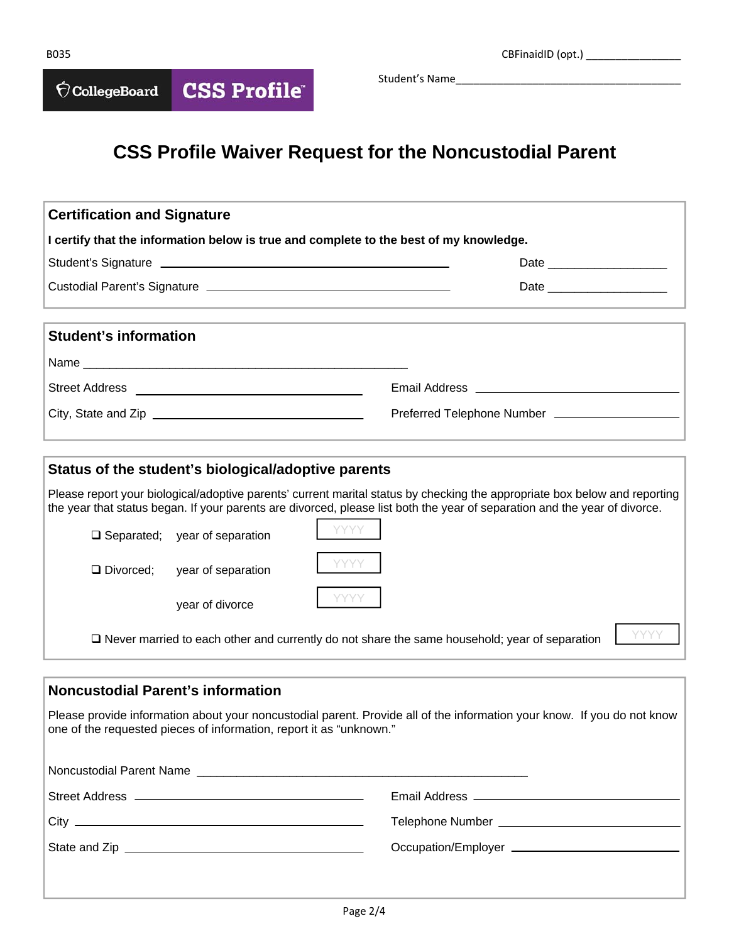**CSS Profile®**  $\bigcirc$  CollegeBoard

Student's Name

# **CSS Profile Waiver Request for the Noncustodial Parent**

| <b>Certification and Signature</b>                                                                                                                                                                                                                       |                               |  |  |  |  |
|----------------------------------------------------------------------------------------------------------------------------------------------------------------------------------------------------------------------------------------------------------|-------------------------------|--|--|--|--|
| I certify that the information below is true and complete to the best of my knowledge.                                                                                                                                                                   |                               |  |  |  |  |
|                                                                                                                                                                                                                                                          |                               |  |  |  |  |
|                                                                                                                                                                                                                                                          | Date ________________________ |  |  |  |  |
| <b>Student's information</b>                                                                                                                                                                                                                             |                               |  |  |  |  |
|                                                                                                                                                                                                                                                          |                               |  |  |  |  |
|                                                                                                                                                                                                                                                          |                               |  |  |  |  |
|                                                                                                                                                                                                                                                          |                               |  |  |  |  |
|                                                                                                                                                                                                                                                          |                               |  |  |  |  |
| Status of the student's biological/adoptive parents                                                                                                                                                                                                      |                               |  |  |  |  |
| Please report your biological/adoptive parents' current marital status by checking the appropriate box below and reporting<br>the year that status began. If your parents are divorced, please list both the year of separation and the year of divorce. |                               |  |  |  |  |
| <b>YYYY</b><br>$\Box$ Separated; year of separation                                                                                                                                                                                                      |                               |  |  |  |  |

Divorced; year of separation year of divorce

 $\Box$  Never married to each other and currently do not share the same household; year of separation  $\Box$  YYYYY

YYYY

YYYY

## **Noncustodial Parent's information**

Please provide information about your noncustodial parent. Provide all of the information your know. If you do not know one of the requested pieces of information, report it as "unknown."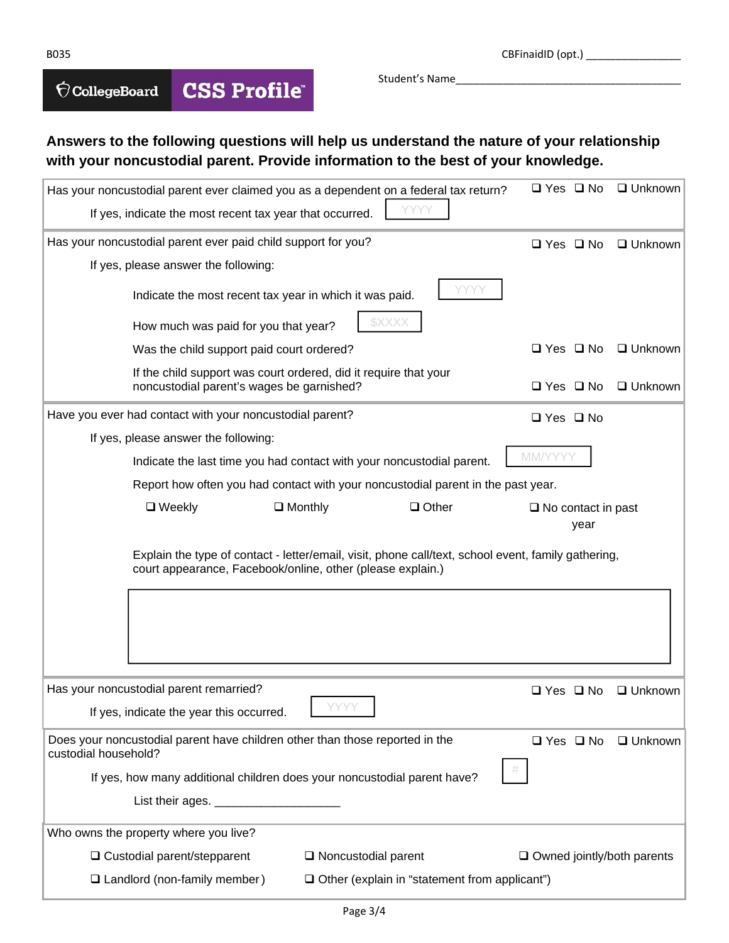B035 CBFinaidID (opt.) \_\_\_\_\_\_\_\_\_\_\_\_\_\_\_\_

#### **CSS Profile®**  $\bigcirc$  CollegeBoard

Student's Name

### **Answers to the following questions will help us understand the nature of your relationship with your noncustodial parent. Provide information to the best of your knowledge.**

| Has your noncustodial parent ever claimed you as a dependent on a federal tax return?                                                                             | $\Box$ Yes $\Box$ No              | □ Unknown              |
|-------------------------------------------------------------------------------------------------------------------------------------------------------------------|-----------------------------------|------------------------|
| If yes, indicate the most recent tax year that occurred.                                                                                                          |                                   |                        |
| Has your noncustodial parent ever paid child support for you?                                                                                                     | $\Box$ Yes $\Box$ No              | $\Box$ Unknown         |
| If yes, please answer the following:                                                                                                                              |                                   |                        |
| Indicate the most recent tax year in which it was paid.                                                                                                           |                                   |                        |
| \$XXXX<br>How much was paid for you that year?                                                                                                                    |                                   |                        |
| Was the child support paid court ordered?                                                                                                                         | $\Box$ Yes $\Box$ No              | $\Box$ Unknown         |
| If the child support was court ordered, did it require that your<br>noncustodial parent's wages be garnished?                                                     | $\Box$ Yes $\Box$ No              | $\Box$ Unknown         |
| Have you ever had contact with your noncustodial parent?                                                                                                          | $\Box$ Yes $\Box$ No              |                        |
| If yes, please answer the following:                                                                                                                              |                                   |                        |
| Indicate the last time you had contact with your noncustodial parent.                                                                                             | MM/YYYY                           |                        |
| Report how often you had contact with your noncustodial parent in the past year.                                                                                  |                                   |                        |
| $\Box$ Monthly<br>$\Box$ Other<br>$\Box$ Weekly                                                                                                                   | $\Box$ No contact in past<br>year |                        |
|                                                                                                                                                                   |                                   |                        |
| Explain the type of contact - letter/email, visit, phone call/text, school event, family gathering,<br>court appearance, Facebook/online, other (please explain.) |                                   |                        |
|                                                                                                                                                                   |                                   |                        |
| Has your noncustodial parent remarried?<br>If yes, indicate the year this occurred.                                                                               | $\Box$ Yes $\Box$ No              |                        |
| Does your noncustodial parent have children other than those reported in the<br>custodial household?                                                              | $\Box$ Yes $\Box$ No              |                        |
|                                                                                                                                                                   |                                   |                        |
| If yes, how many additional children does your noncustodial parent have?                                                                                          |                                   |                        |
| Who owns the property where you live?                                                                                                                             |                                   |                        |
| □ Custodial parent/stepparent<br>$\Box$ Noncustodial parent                                                                                                       | $\Box$ Owned jointly/both parents | □ Unknown<br>□ Unknown |